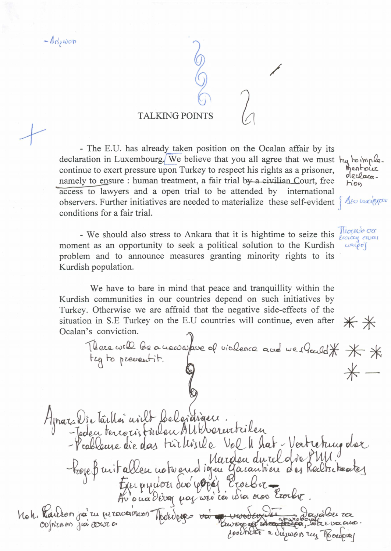$-\Delta n$ , won

## **TALKING POINTS**

- The E.U. has already taken position on the Ocalan affair by its declaration in Luxembourg. We believe that you all agree that we must key boimple. continue to exert pressure upon Turkey to respect his rights as a prisoner, namely to ensure : human treatment, a fair trial by a civilian Court, free access to lawyers and a open trial to be attended by international observers. Further initiatives are needed to materialize these self-evident  $\frac{1}{2}$ conditions for a fair trial.

- We should also stress to Ankara that it is hightime to seize this  $\frac{\prod_{\substack{O \in E \cup \{v\}}} O \cap C}{\ell O \cap C}$ moment as an opportunity to seek a political solution to the Kurdish problem and to announce measures granting minority rights to its Kurdish population.

We have to bare in mind that peace and tranquillity within the Kurdish communities in our countries depend on such initiatives by Turkey. Otherwise we are affraid that the negative side-effects of the situation in S.E Turkey on the E.U countries will continue, even after Ocalan's conviction.

There will be a uswarfave of violence and we should \* \* \*

**Hinn** 

Mentoire

oleclaca.

 $u\alpha\varphi\sigma$ 

 $**$ 

Apraz Dir laillei aville belevatique Moh. Raulion ja zu pravariaon Noted pages voi